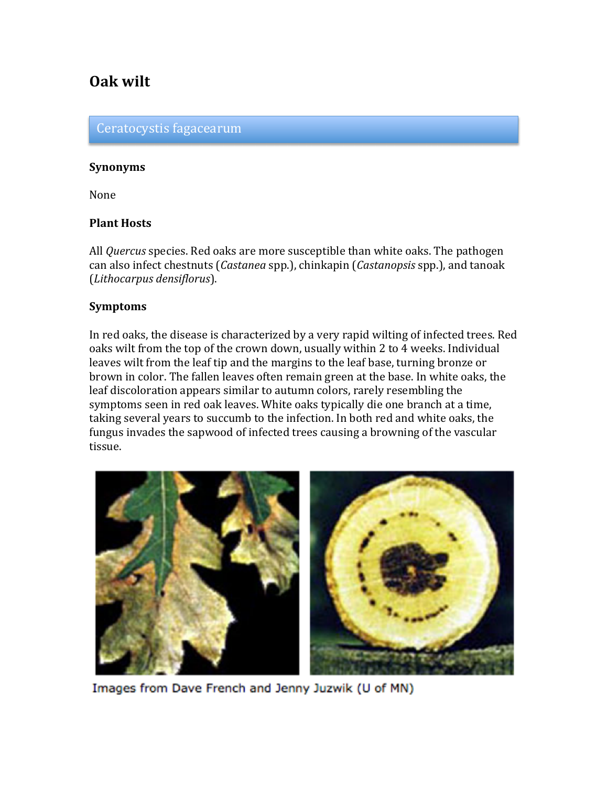# **Oak wilt**

#### Ceratocystis fagacearum

#### **Synonyms**

None

#### **Plant Hosts**

All *Quercus* species. Red oaks are more susceptible than white oaks. The pathogen can also infect chestnuts (*Castanea* spp.), chinkapin (*Castanopsis* spp.), and tanoak (*Lithocarpus densiflorus*).

### **Symptoms**

In red oaks, the disease is characterized by a very rapid wilting of infected trees. Red oaks wilt from the top of the crown down, usually within 2 to 4 weeks. Individual leaves wilt from the leaf tip and the margins to the leaf base, turning bronze or brown in color. The fallen leaves often remain green at the base. In white oaks, the leaf discoloration appears similar to autumn colors, rarely resembling the symptoms seen in red oak leaves. White oaks typically die one branch at a time, taking several years to succumb to the infection. In both red and white oaks, the fungus invades the sapwood of infected trees causing a browning of the vascular tissue.



Images from Dave French and Jenny Juzwik (U of MN)